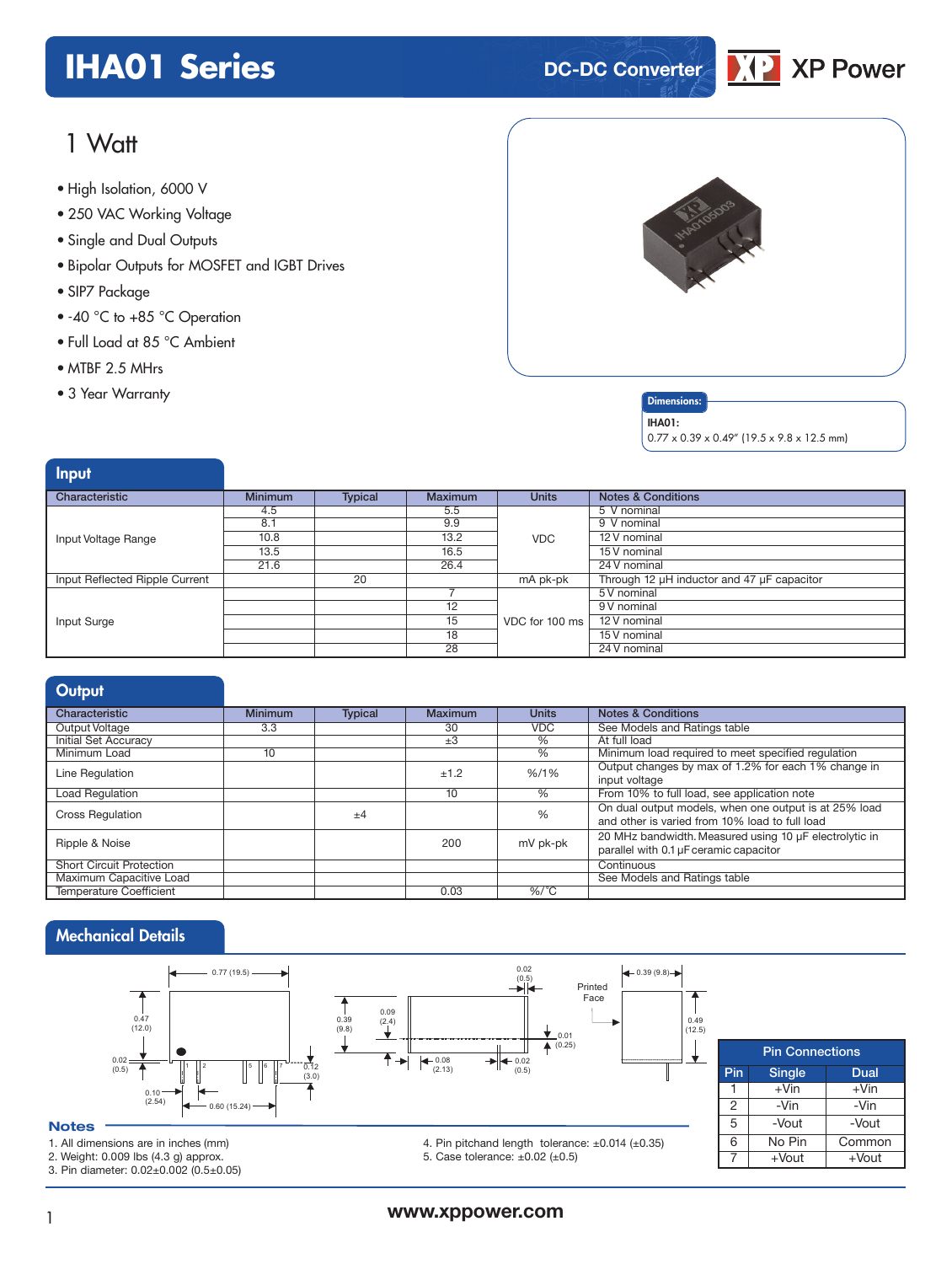## **IHA01 Series DC-DC** Converter



## 1 Watt

- **xxx Series** High Isolation, 6000 V
- 250 VAC Working Voltage
- Single and Dual Outputs
- Bipolar Outputs for MOSFET and IGBT Drives
- SIP7 Package
- -40 °C to +85 °C Operation
- Full Load at 85 °C Ambient
- MTBF 2.5 MHrs
- 





IHA01:

 $0.77 \times 0.39 \times 0.49''$  (19.5 x 9.8 x 12.5 mm)

| Input                          |                |                |                 |                |                                            |
|--------------------------------|----------------|----------------|-----------------|----------------|--------------------------------------------|
| Characteristic                 | <b>Minimum</b> | <b>Typical</b> | <b>Maximum</b>  | <b>Units</b>   | <b>Notes &amp; Conditions</b>              |
|                                | 4.5            |                | 5.5             |                | 5 V nominal                                |
|                                | 8.1            |                | 9.9             |                | 9 V nominal                                |
| Input Voltage Range            | 10.8           |                | 13.2            | <b>VDC</b>     | 12 V nominal                               |
|                                | 13.5           |                | 16.5            |                | 15 V nominal                               |
|                                | 21.6           |                | 26.4            |                | 24 V nominal                               |
| Input Reflected Ripple Current |                | 20             |                 | mA pk-pk       | Through 12 µH inductor and 47 µF capacitor |
|                                |                |                |                 |                | 5 V nominal                                |
|                                |                |                | 12              |                | 9 V nominal                                |
| Input Surge                    |                |                | $\overline{15}$ | VDC for 100 ms | 12 V nominal                               |
|                                |                |                | 18              |                | 15 V nominal                               |
|                                |                |                | 28              |                | 24 V nominal                               |

| Output                          |                |                |         |                                    |                                                        |
|---------------------------------|----------------|----------------|---------|------------------------------------|--------------------------------------------------------|
| Characteristic                  | <b>Minimum</b> | <b>Typical</b> | Maximum | <b>Units</b>                       | <b>Notes &amp; Conditions</b>                          |
| Output Voltage                  | 3.3            |                | 30      | <b>VDC</b>                         | See Models and Ratings table                           |
| <b>Initial Set Accuracy</b>     |                |                | $\pm 3$ | $\%$                               | At full load                                           |
| Minimum Load                    | 10             |                |         | $\%$                               | Minimum load required to meet specified requlation     |
| Line Regulation                 |                |                | ±1.2    |                                    | Output changes by max of 1.2% for each 1% change in    |
|                                 |                |                |         | $% / 1\%$<br>$\%$<br>%<br>mV pk-pk | input voltage                                          |
| Load Regulation                 |                |                | 10      |                                    | From 10% to full load, see application note            |
| <b>Cross Regulation</b>         |                | $+4$           |         |                                    | On dual output models, when one output is at 25% load  |
|                                 |                |                |         |                                    | and other is varied from 10% load to full load         |
|                                 |                |                |         |                                    | 20 MHz bandwidth. Measured using 10 µF electrolytic in |
| Ripple & Noise                  |                |                | 200     |                                    | parallel with 0.1 µF ceramic capacitor                 |
| <b>Short Circuit Protection</b> |                |                |         |                                    | Continuous                                             |
| Maximum Capacitive Load         |                |                |         |                                    | See Models and Ratings table                           |
| <b>Temperature Coefficient</b>  |                |                | 0.03    | $\%$ /°C                           |                                                        |

### Mechanical Details



2. Weight: 0.009 lbs (4.3 g) approx.

3. Pin diameter: 0.02±0.002 (0.5±0.05)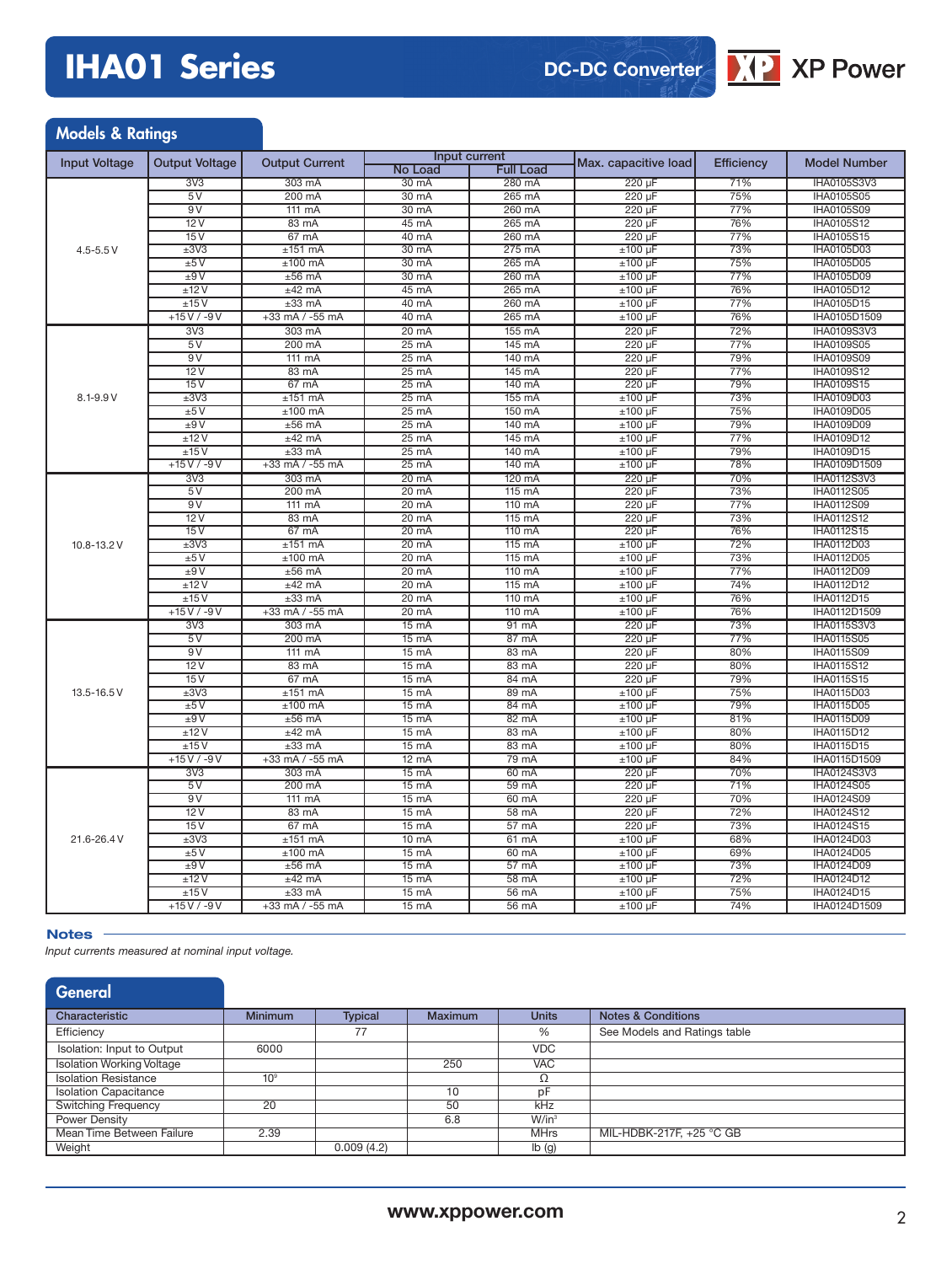# **IHA01 Series**

**DC-DC Converter**



| <b>Models &amp; Ratings</b> |                       |                       |                          |                  |                           |                   |                                 |
|-----------------------------|-----------------------|-----------------------|--------------------------|------------------|---------------------------|-------------------|---------------------------------|
| <b>Input Voltage</b>        | <b>Output Voltage</b> | <b>Output Current</b> | Input current            |                  | Max. capacitive load      | <b>Efficiency</b> | <b>Model Number</b>             |
|                             |                       |                       | <b>No Load</b>           | <b>Full Load</b> |                           |                   |                                 |
|                             | 3V3                   | 303 mA                | 30 mA                    | 280 mA           | 220 µF                    | 71%               | <b>IHA0105S3V3</b>              |
|                             | 5V                    | 200 mA                | 30 mA                    | 265 mA           | 220 µF                    | 75%               | <b>IHA0105S05</b>               |
|                             | 9V                    | 111 mA                | 30 mA                    | 260 mA           | $220 \mu F$               | 77%               | <b>IHA0105S09</b>               |
|                             | 12V                   | 83 mA                 | 45 mA                    | 265 mA           | 220 µF                    | 76%               | <b>IHA0105S12</b>               |
|                             | 15V                   | $67 \text{ mA}$       | 40 mA                    | 260 mA           | $220 \mu F$               | 77%               | IHA0105S15                      |
| $4.5 - 5.5 V$               | ±3V3                  | $±151$ mA             | 30 mA                    | $275 \text{ mA}$ | $±100$ uF                 | 73%               | IHA0105D03                      |
|                             | ±5V                   | $±100$ mA             | 30 mA                    | 265 mA           | $±100 \mu F$              | 75%               | IHA0105D05                      |
|                             | ±9V                   | $±56$ mA              | 30 mA                    | 260 mA           | $±100 \mu F$              | 77%               | IHA0105D09                      |
|                             | ±12V                  | $±42$ mA              | 45 mA                    | 265 mA           | $±100 \mu F$              | 76%               | IHA0105D12                      |
|                             | ±15V                  | $\pm 33$ mA           | 40 mA                    | 260 mA<br>265 mA | ±100 µF                   | 77%               | IHA0105D15                      |
|                             | $+15V/ -9V$           | +33 mA / -55 mA       | 40 mA                    |                  | $±100~\mu F$              | 76%               | IHA0105D1509                    |
|                             | 3V3                   | 303 mA                | 20 mA                    | 155 mA           | 220 uF                    | 72%               | <b>IHA0109S3V3</b>              |
|                             | 5V                    | 200 mA                | $25 \text{ mA}$          | 145 mA           | 220 µF                    | 77%               | <b>IHA0109S05</b>               |
|                             | 9V                    | 111 mA                | $25 \text{ mA}$          | 140 mA           | 220 µF                    | 79%<br>77%        | <b>IHA0109S09</b>               |
|                             | 12V                   | 83 mA                 | $25 \text{ mA}$          | 145 mA           | 220 µF                    |                   | <b>IHA0109S12</b>               |
|                             | 15V                   | 67 mA                 | 25 mA                    | 140 mA           | $220 \mu F$               | 79%<br>73%        | IHA0109S15                      |
| 8.1-9.9 V                   | ±3V3                  | $±151$ mA             | $25 \text{ mA}$          | 155 mA           | $±100 \mu F$              |                   | IHA0109D03                      |
|                             | ±5V<br>±9V            | $±100$ mA<br>$±56$ mA | 25 mA<br>$25 \text{ mA}$ | 150 mA<br>140 mA | $±100 \mu F$              | 75%<br>79%        | IHA0109D05<br><b>IHA0109D09</b> |
|                             | ±12V                  | $±42$ mA              | 25 mA                    | 145 mA           | $±100 \mu F$              | 77%               | IHA0109D12                      |
|                             | ±15V                  | $±33$ mA              | $25 \text{ mA}$          | 140 mA           | $±100$ µF<br>$±100 \mu F$ | 79%               | IHA0109D15                      |
|                             | $+15V/ -9V$           | $+33$ mA $/ -55$ mA   | $25 \text{ mA}$          | 140 mA           | $±100 \mu F$              | 78%               | IHA0109D1509                    |
|                             | 3V3                   | 303 mA                | 20 mA                    | 120 mA           | 220 µF                    | 70%               | <b>IHA0112S3V3</b>              |
|                             | 5V                    | 200 mA                | 20 mA                    | 115 mA           | 220 µF                    | 73%               | IHA0112S05                      |
|                             | 9V                    | $111 \text{ mA}$      | $20 \text{ mA}$          | 110 mA           | 220 µF                    | 77%               | <b>IHA0112S09</b>               |
|                             | 12V                   | 83 mA                 | $20 \text{ mA}$          | 115 mA           | $220 \mu F$               | 73%               | <b>IHA0112S12</b>               |
|                             | 15V                   | 67 mA                 | $20 \text{ mA}$          | 110 mA           | 220 uF                    | 76%               | <b>IHA0112S15</b>               |
| 10.8-13.2 V                 | ±3V3                  | $±151$ mA             | $20 \text{ mA}$          | $115 \text{ mA}$ | $±100 \mu F$              | 72%               | IHA0112D03                      |
|                             | ±5V                   | $±100$ mA             | $20 \text{ mA}$          | 115 mA           | $±100 \mu F$              | 73%               | <b>IHA0112D05</b>               |
|                             | ±9V                   | $±56$ mA              | $20 \text{ mA}$          | 110 mA           | $±100 \mu F$              | 77%               | <b>IHA0112D09</b>               |
|                             | ±12V                  | $±42$ mA              | $20 \text{ mA}$          | 115 mA           | $±100 \mu F$              | 74%               | <b>IHA0112D12</b>               |
|                             | ±15V                  | $±33$ mA              | $20 \text{ mA}$          | $110 \text{ mA}$ | $±100~\mu F$              | 76%               | IHA0112D15                      |
|                             | $+15V/ -9V$           | $+33$ mA $/ -55$ mA   | $20 \text{ mA}$          | 110 mA           | $±100~\mu F$              | 76%               | IHA0112D1509                    |
|                             | 3V3                   | 303 mA                | $15 \text{ mA}$          | $91 \text{ mA}$  | 220 uF                    | 73%               | <b>IHA0115S3V3</b>              |
|                             | 5V                    | 200 mA                | $15 \text{ mA}$          | 87 mA            | 220 µF                    | 77%               | <b>IHA0115S05</b>               |
|                             | 9V                    | 111 mA                | $15 \text{ mA}$          | 83 mA            | 220 µF                    | 80%               | <b>IHA0115S09</b>               |
|                             | 12V                   | 83 mA                 | 15 mA                    | 83 mA            | 220 µF                    | 80%               | <b>IHA0115S12</b>               |
|                             | 15V                   | 67 mA                 | 15 mA                    | 84 mA            | $220 \mu F$               | 79%               | <b>IHA0115S15</b>               |
| 13.5-16.5 V                 | ±3V3                  | $±151$ mA             | 15 mA                    | $89 \text{ mA}$  | $±100 \mu F$              | 75%               | IHA0115D03                      |
|                             | ±5V                   | $±100$ mA             | $15 \text{ mA}$          | 84 mA            | $±100$ uF                 | 79%               | <b>IHA0115D05</b>               |
|                             | ±9V                   | $±56$ mA              | 15 mA                    | 82 mA            | $±100 \mu F$              | 81%               | IHA0115D09                      |
|                             | ±12V                  | $±42$ mA              | $15 \text{ mA}$          | 83 mA            | $±100 \mu F$              | 80%               | <b>IHA0115D12</b>               |
|                             | ±15V                  | $±33$ mA              | $15 \text{ mA}$          | 83 mA            | $±100~\mu F$              | 80%               | IHA0115D15                      |
|                             | $+15V/ -9V$           | $+33$ mA $/ -55$ mA   | $12 \text{ mA}$          | 79 mA            | $±100 \mu F$              | 84%               | IHA0115D1509                    |
|                             | 3V <sub>3</sub>       | 303 mA                | $15 \text{ mA}$          | 60 mA            | 220 µF                    | 70%               | <b>IHA0124S3V3</b>              |
|                             | 5 V                   | 200 mA                | 15 mA                    | 59 mA            | $220 \mu F$               | 71%               | IHA0124S05                      |
|                             | 9V                    | 111 mA                | 15 mA                    | 60 mA            | $220 \mu F$               | 70%               | IHA0124S09                      |
|                             | 12V                   | 83 mA                 | $15 \text{ mA}$          | 58 mA            | 220 uF                    | 72%               | IHA0124S12                      |
|                             | 15V                   | $67 \text{ mA}$       | $15 \text{ mA}$          | 57 <sub>mA</sub> | 220 uF                    | 73%               | <b>IHA0124S15</b>               |
| 21.6-26.4V                  | ±3V3                  | $±151$ mA             | $10 \text{ mA}$          | $61 \text{ mA}$  | $±100 \mu F$              | 68%               | IHA0124D03                      |
|                             | ±5V                   | $±100$ mA             | $15 \text{ mA}$          | 60 mA            | $±100~\mu F$              | 69%               | IHA0124D05                      |
|                             | ±9V                   | $±56$ mA              | 15 mA                    | $57 \text{ mA}$  | $±100 \mu F$              | 73%               | <b>IHA0124D09</b>               |
|                             | ±12V                  | $±42$ mA              | 15 mA                    | 58 mA            | $±100 \mu F$              | 72%               | IHA0124D12                      |
|                             | ±15V                  | $\pm 33$ mA           | 15 mA                    | 56 mA            | $±100 \mu F$              | 75%               | IHA0124D15                      |
|                             | $+15V/ -9V$           | +33 mA / -55 mA       | $15 \text{ mA}$          | 56 mA            | $±100~\mu F$              | 74%               | IHA0124D1509                    |

#### **Notes**

*Input currents measured at nominal input voltage.*

| General                          |                 |                |                |              |                               |
|----------------------------------|-----------------|----------------|----------------|--------------|-------------------------------|
| Characteristic                   | <b>Minimum</b>  | <b>Typical</b> | <b>Maximum</b> | <b>Units</b> | <b>Notes &amp; Conditions</b> |
| Efficiency                       |                 | 77             |                | %            | See Models and Ratings table  |
| Isolation: Input to Output       | 6000            |                |                | <b>VDC</b>   |                               |
| <b>Isolation Working Voltage</b> |                 |                | 250            | <b>VAC</b>   |                               |
| <b>Isolation Resistance</b>      | 10 <sup>9</sup> |                |                | Ω            |                               |
| <b>Isolation Capacitance</b>     |                 |                | 10             | рF           |                               |
| <b>Switching Frequency</b>       | 20              |                | 50             | kHz          |                               |
| Power Density                    |                 |                | 6.8            | $W/in^3$     |                               |
| Mean Time Between Failure        | 2.39            |                |                | <b>MHrs</b>  | MIL-HDBK-217F, +25 °C GB      |
| Weight                           |                 | 0.009(4.2)     |                | Ib(g)        |                               |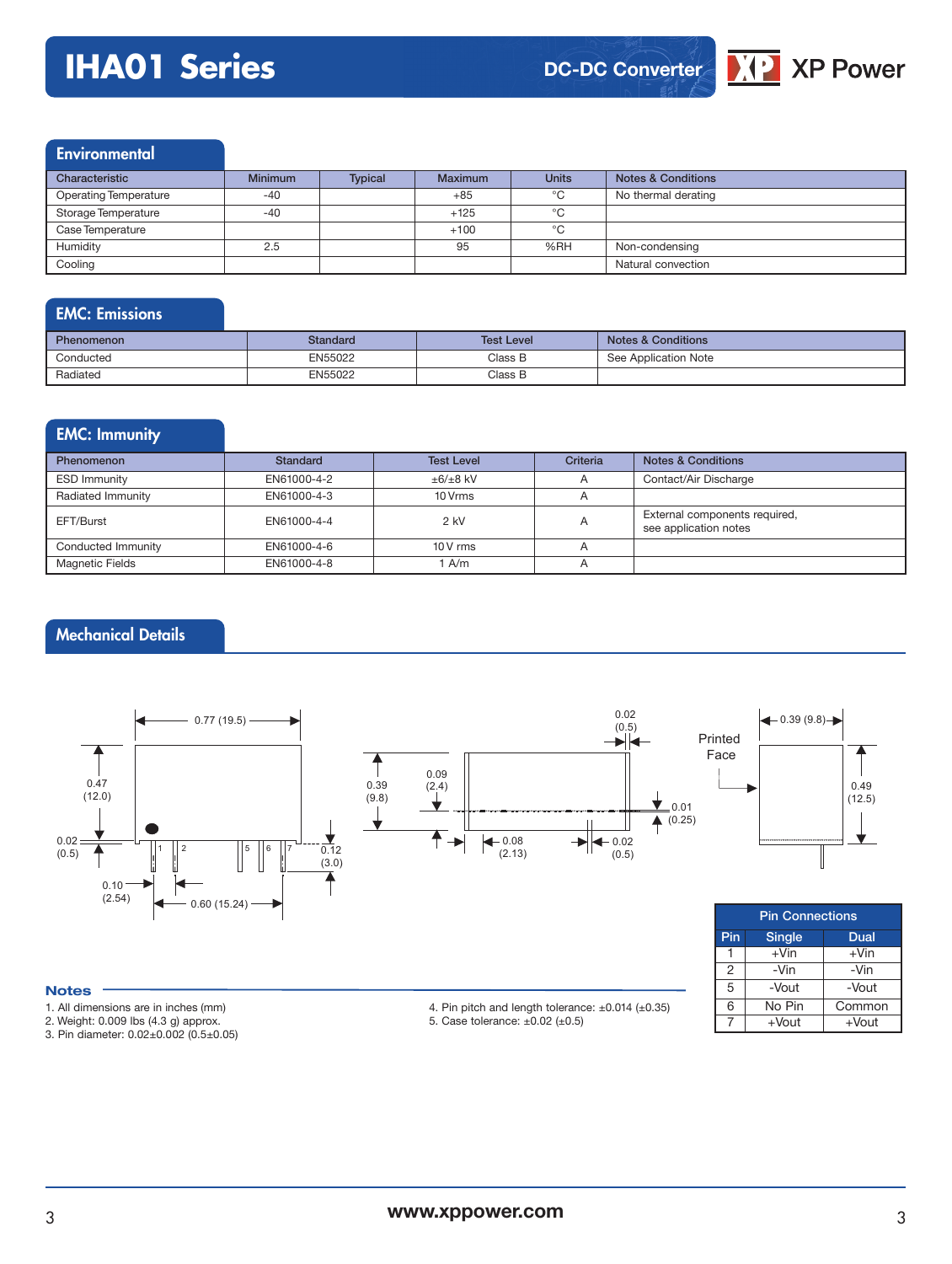## **IHA01 Series**



### **Environmental**

| Characteristic               | <b>Minimum</b> | <b>Typical</b> | <b>Maximum</b> | <b>Units</b> | <b>Notes &amp; Conditions</b> |
|------------------------------|----------------|----------------|----------------|--------------|-------------------------------|
| <b>Operating Temperature</b> | $-40$          |                | $+85$          | $^{\circ}$ C | No thermal derating           |
| Storage Temperature          | $-40$          |                | $+125$         | °C           |                               |
| Case Temperature             |                |                | $+100$         | °C           |                               |
| Humidity                     | 2.5            |                | 95             | %RH          | Non-condensing                |
| Cooling                      |                |                |                |              | Natural convection            |

### EMC: Emissions

| <b>Phenomenon</b> | <b>Standard</b> | <b>Test Level</b> | Notes & Conditions   |
|-------------------|-----------------|-------------------|----------------------|
| Conducted         | EN55022         | Class B           | See Application Note |
| Radiated          | EN55022         | Class B           |                      |

### EMC: Immunity Phenomenon **Standard Test Level Criteria** Notes & Conditions ESD Immunity EN61000-4-2  $\pm 6/\pm 8$  kV A Contact/Air Discharge Radiated Immunity **EN61000-4-3** 10 Vrms A EFT/Burst ENG1000-4-4 | 2 kV A External components required, see application notes Conducted Immunity **EN61000-4-6** 10 V rms A Magnetic Fields **EN61000-4-8** 1 A/m A

### Mechanical Details



| ×<br>۰, | ×<br>۰.<br>×<br>٧ |  |
|---------|-------------------|--|
|         |                   |  |

- 1. All dimensions are in inches (mm)
- 2. Weight: 0.009 lbs (4.3 g) approx.
- 3. Pin diameter: 0.02±0.002 (0.5±0.05)

4. Pin pitch and length tolerance:  $\pm 0.014$  ( $\pm 0.35$ ) 5. Case tolerance: ±0.02 (±0.5)

Pin Single Dual  $1 \mid +\text{V}$ in  $+ \text{V}$ in 2 -Vin -Vin 5 -Vout -Vout 6 No Pin Common  $7 +$ Vout  $+$ Vout